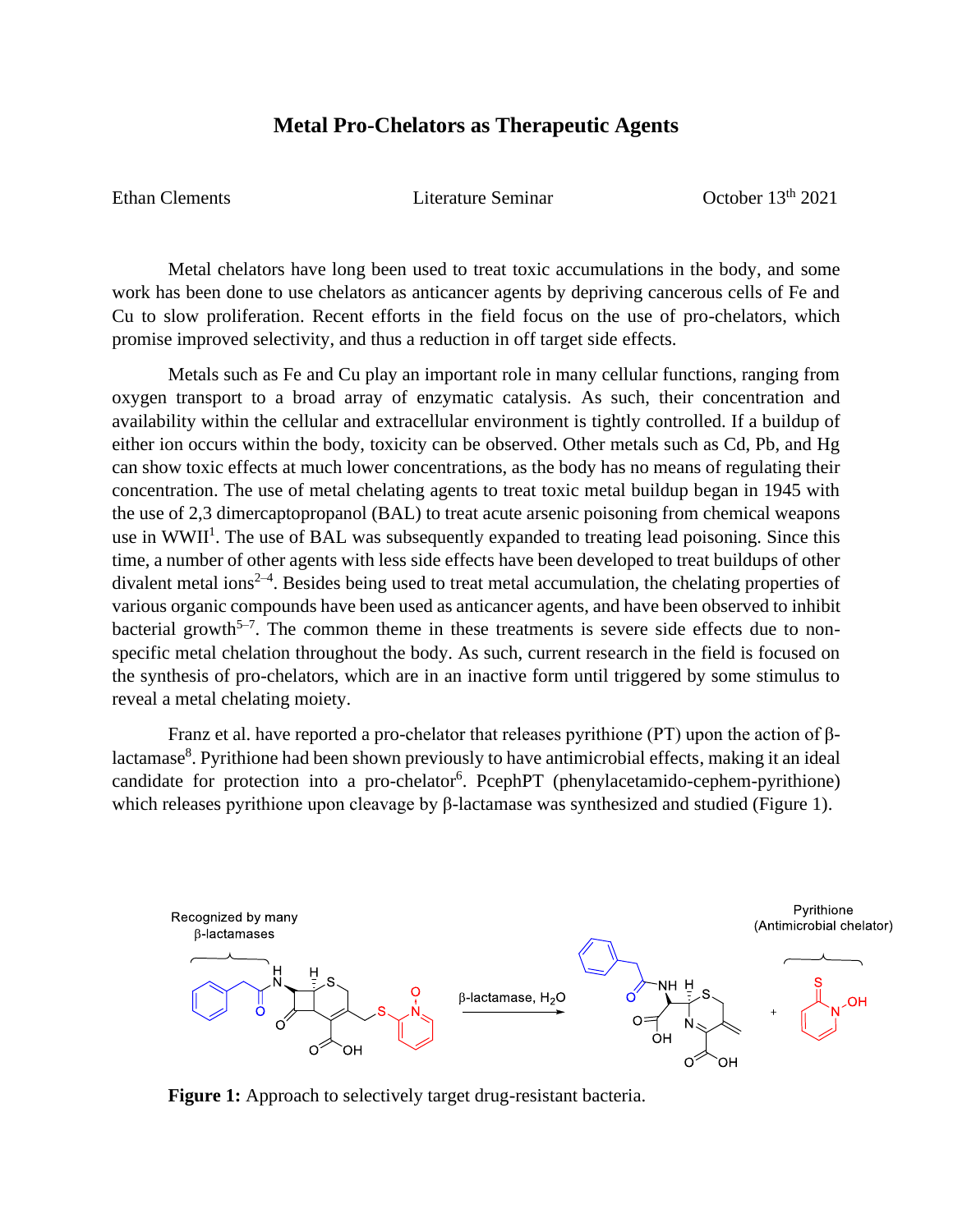## **Metal Pro-Chelators as Therapeutic Agents**

Ethan Clements Literature Seminar Corober 13<sup>th</sup> 2021

Metal chelators have long been used to treat toxic accumulations in the body, and some work has been done to use chelators as anticancer agents by depriving cancerous cells of Fe and Cu to slow proliferation. Recent efforts in the field focus on the use of pro-chelators, which promise improved selectivity, and thus a reduction in off target side effects.

Metals such as Fe and Cu play an important role in many cellular functions, ranging from oxygen transport to a broad array of enzymatic catalysis. As such, their concentration and availability within the cellular and extracellular environment is tightly controlled. If a buildup of either ion occurs within the body, toxicity can be observed. Other metals such as Cd, Pb, and Hg can show toxic effects at much lower concentrations, as the body has no means of regulating their concentration. The use of metal chelating agents to treat toxic metal buildup began in 1945 with the use of 2,3 dimercaptopropanol (BAL) to treat acute arsenic poisoning from chemical weapons use in WWII<sup>1</sup>. The use of BAL was subsequently expanded to treating lead poisoning. Since this time, a number of other agents with less side effects have been developed to treat buildups of other divalent metal ions<sup>2-4</sup>. Besides being used to treat metal accumulation, the chelating properties of various organic compounds have been used as anticancer agents, and have been observed to inhibit bacterial growth<sup>5-7</sup>. The common theme in these treatments is severe side effects due to nonspecific metal chelation throughout the body. As such, current research in the field is focused on the synthesis of pro-chelators, which are in an inactive form until triggered by some stimulus to reveal a metal chelating moiety.

Franz et al. have reported a pro-chelator that releases pyrithione (PT) upon the action of βlactamase<sup>8</sup>. Pyrithione had been shown previously to have antimicrobial effects, making it an ideal candidate for protection into a pro-chelator<sup>6</sup>. PcephPT (phenylacetamido-cephem-pyrithione) which releases pyrithione upon cleavage by β-lactamase was synthesized and studied (Figure 1).



**Figure 1:** Approach to selectively target drug-resistant bacteria.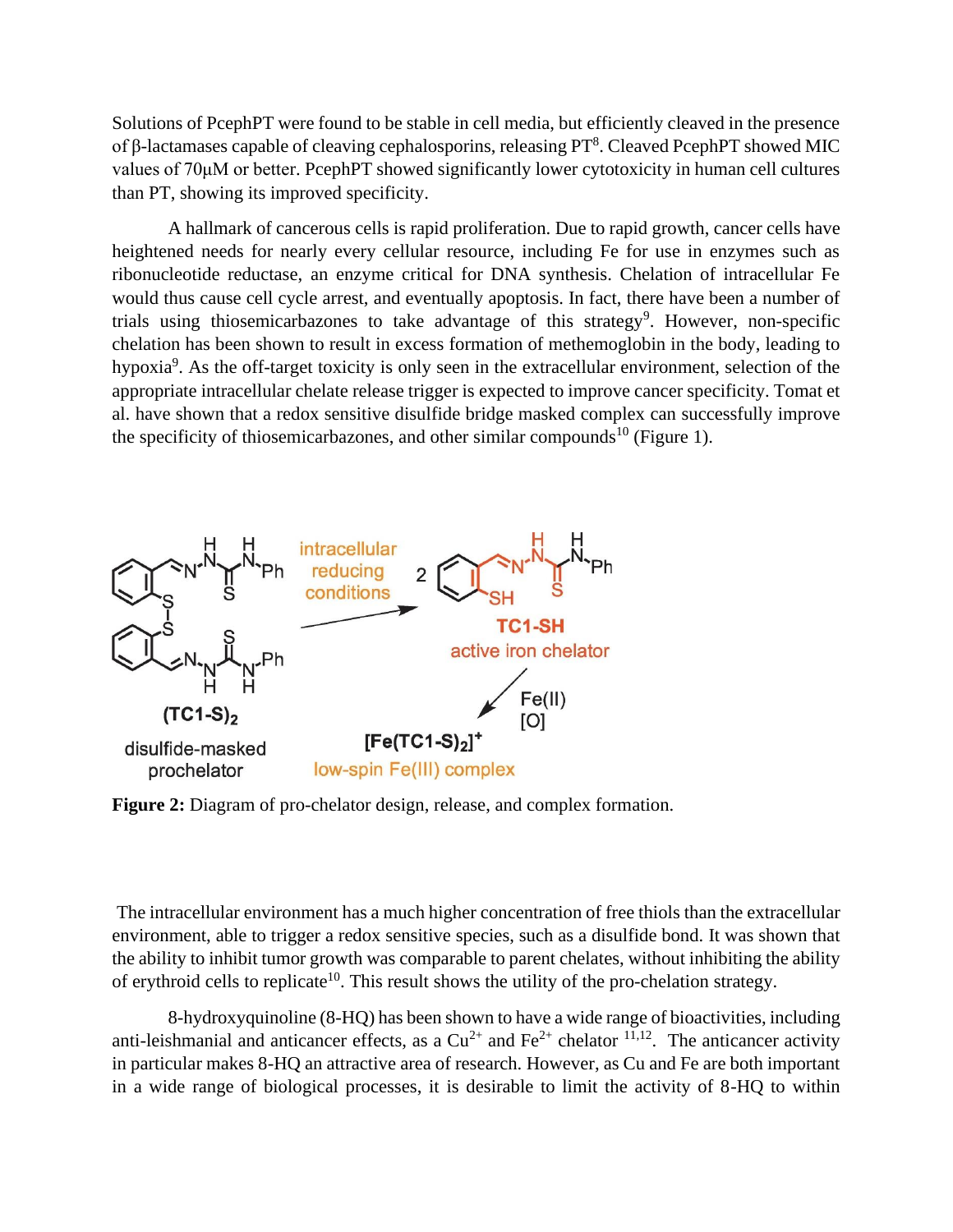Solutions of PcephPT were found to be stable in cell media, but efficiently cleaved in the presence of β-lactamases capable of cleaving cephalosporins, releasing  $PT<sup>8</sup>$ . Cleaved PcephPT showed MIC values of 70μM or better. PcephPT showed significantly lower cytotoxicity in human cell cultures than PT, showing its improved specificity.

A hallmark of cancerous cells is rapid proliferation. Due to rapid growth, cancer cells have heightened needs for nearly every cellular resource, including Fe for use in enzymes such as ribonucleotide reductase, an enzyme critical for DNA synthesis. Chelation of intracellular Fe would thus cause cell cycle arrest, and eventually apoptosis. In fact, there have been a number of trials using thiosemicarbazones to take advantage of this strategy<sup>9</sup>. However, non-specific chelation has been shown to result in excess formation of methemoglobin in the body, leading to hypoxia<sup>9</sup>. As the off-target toxicity is only seen in the extracellular environment, selection of the appropriate intracellular chelate release trigger is expected to improve cancer specificity. Tomat et al. have shown that a redox sensitive disulfide bridge masked complex can successfully improve the specificity of thiosemicarbazones, and other similar compounds<sup>10</sup> (Figure 1).



**Figure 2:** Diagram of pro-chelator design, release, and complex formation.

The intracellular environment has a much higher concentration of free thiols than the extracellular environment, able to trigger a redox sensitive species, such as a disulfide bond. It was shown that the ability to inhibit tumor growth was comparable to parent chelates, without inhibiting the ability of erythroid cells to replicate<sup>10</sup>. This result shows the utility of the pro-chelation strategy.

8-hydroxyquinoline (8-HQ) has been shown to have a wide range of bioactivities, including anti-leishmanial and anticancer effects, as a  $Cu^{2+}$  and  $Fe^{2+}$  chelator  $11,12$ . The anticancer activity in particular makes 8-HQ an attractive area of research. However, as Cu and Fe are both important in a wide range of biological processes, it is desirable to limit the activity of 8-HQ to within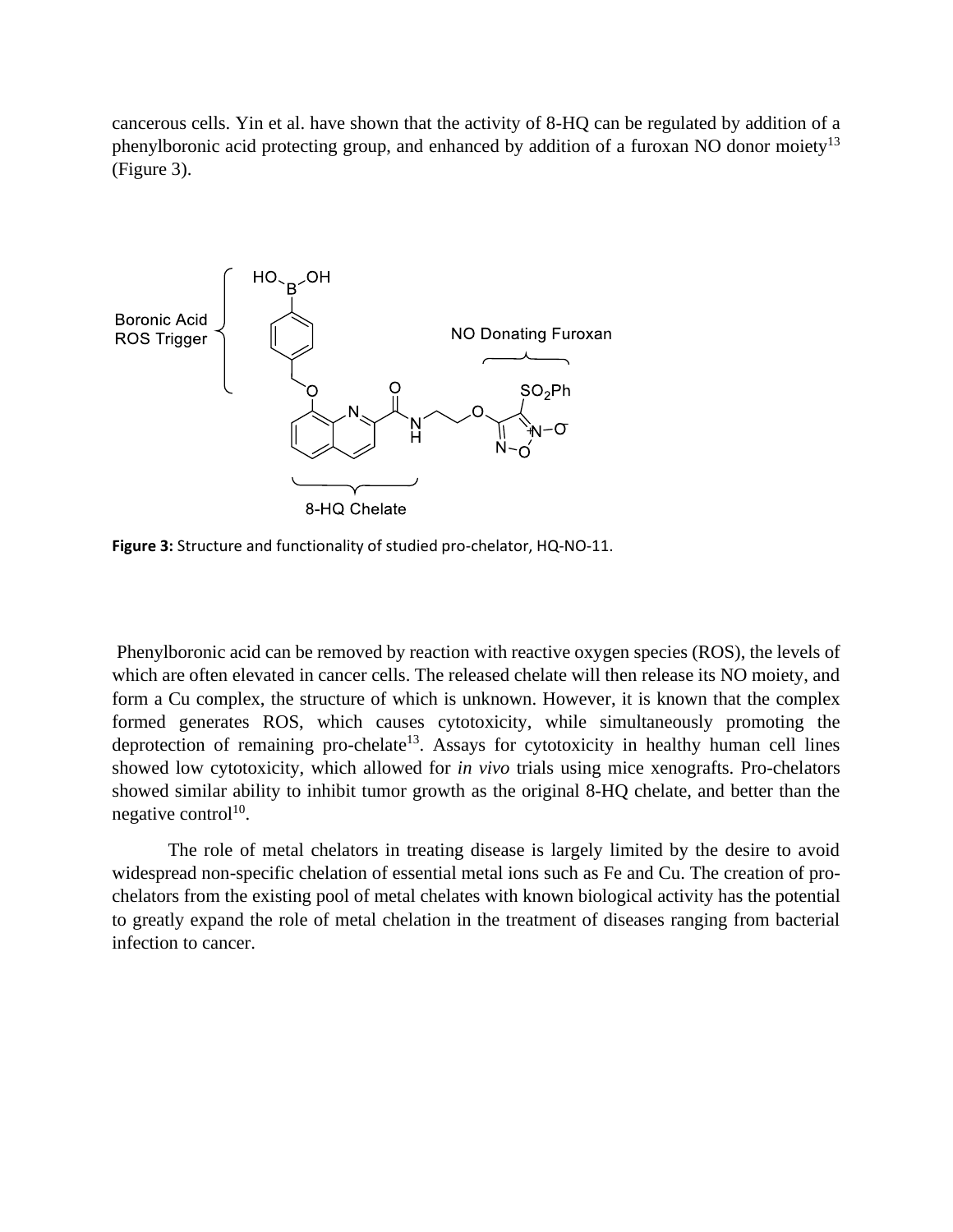cancerous cells. Yin et al. have shown that the activity of 8-HQ can be regulated by addition of a phenylboronic acid protecting group, and enhanced by addition of a furoxan NO donor moiety<sup>13</sup> (Figure 3).



**Figure 3:** Structure and functionality of studied pro-chelator, HQ-NO-11.

Phenylboronic acid can be removed by reaction with reactive oxygen species (ROS), the levels of which are often elevated in cancer cells. The released chelate will then release its NO moiety, and form a Cu complex, the structure of which is unknown. However, it is known that the complex formed generates ROS, which causes cytotoxicity, while simultaneously promoting the deprotection of remaining pro-chelate<sup>13</sup>. Assays for cytotoxicity in healthy human cell lines showed low cytotoxicity, which allowed for *in vivo* trials using mice xenografts. Pro-chelators showed similar ability to inhibit tumor growth as the original 8-HQ chelate, and better than the negative control<sup>10</sup>.

The role of metal chelators in treating disease is largely limited by the desire to avoid widespread non-specific chelation of essential metal ions such as Fe and Cu. The creation of prochelators from the existing pool of metal chelates with known biological activity has the potential to greatly expand the role of metal chelation in the treatment of diseases ranging from bacterial infection to cancer.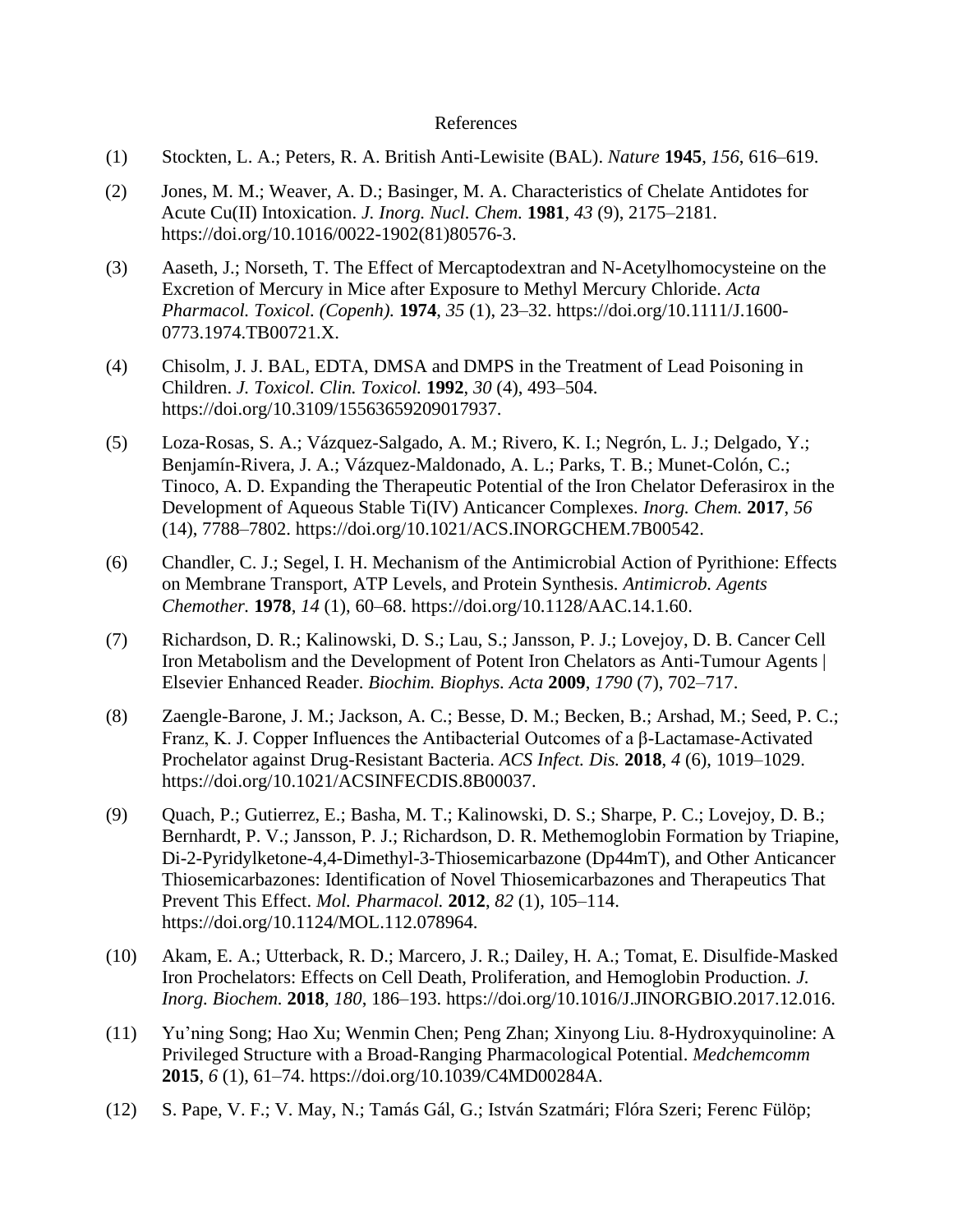## References

- (1) Stockten, L. A.; Peters, R. A. British Anti-Lewisite (BAL). *Nature* **1945**, *156*, 616–619.
- (2) Jones, M. M.; Weaver, A. D.; Basinger, M. A. Characteristics of Chelate Antidotes for Acute Cu(II) Intoxication. *J. Inorg. Nucl. Chem.* **1981**, *43* (9), 2175–2181. https://doi.org/10.1016/0022-1902(81)80576-3.
- (3) Aaseth, J.; Norseth, T. The Effect of Mercaptodextran and N-Acetylhomocysteine on the Excretion of Mercury in Mice after Exposure to Methyl Mercury Chloride. *Acta Pharmacol. Toxicol. (Copenh).* **1974**, *35* (1), 23–32. https://doi.org/10.1111/J.1600- 0773.1974.TB00721.X.
- (4) Chisolm, J. J. BAL, EDTA, DMSA and DMPS in the Treatment of Lead Poisoning in Children. *J. Toxicol. Clin. Toxicol.* **1992**, *30* (4), 493–504. https://doi.org/10.3109/15563659209017937.
- (5) Loza-Rosas, S. A.; Vázquez-Salgado, A. M.; Rivero, K. I.; Negrón, L. J.; Delgado, Y.; Benjamín-Rivera, J. A.; Vázquez-Maldonado, A. L.; Parks, T. B.; Munet-Colón, C.; Tinoco, A. D. Expanding the Therapeutic Potential of the Iron Chelator Deferasirox in the Development of Aqueous Stable Ti(IV) Anticancer Complexes. *Inorg. Chem.* **2017**, *56* (14), 7788–7802. https://doi.org/10.1021/ACS.INORGCHEM.7B00542.
- (6) Chandler, C. J.; Segel, I. H. Mechanism of the Antimicrobial Action of Pyrithione: Effects on Membrane Transport, ATP Levels, and Protein Synthesis. *Antimicrob. Agents Chemother.* **1978**, *14* (1), 60–68. https://doi.org/10.1128/AAC.14.1.60.
- (7) Richardson, D. R.; Kalinowski, D. S.; Lau, S.; Jansson, P. J.; Lovejoy, D. B. Cancer Cell Iron Metabolism and the Development of Potent Iron Chelators as Anti-Tumour Agents | Elsevier Enhanced Reader. *Biochim. Biophys. Acta* **2009**, *1790* (7), 702–717.
- (8) Zaengle-Barone, J. M.; Jackson, A. C.; Besse, D. M.; Becken, B.; Arshad, M.; Seed, P. C.; Franz, K. J. Copper Influences the Antibacterial Outcomes of a β-Lactamase-Activated Prochelator against Drug-Resistant Bacteria. *ACS Infect. Dis.* **2018**, *4* (6), 1019–1029. https://doi.org/10.1021/ACSINFECDIS.8B00037.
- (9) Quach, P.; Gutierrez, E.; Basha, M. T.; Kalinowski, D. S.; Sharpe, P. C.; Lovejoy, D. B.; Bernhardt, P. V.; Jansson, P. J.; Richardson, D. R. Methemoglobin Formation by Triapine, Di-2-Pyridylketone-4,4-Dimethyl-3-Thiosemicarbazone (Dp44mT), and Other Anticancer Thiosemicarbazones: Identification of Novel Thiosemicarbazones and Therapeutics That Prevent This Effect. *Mol. Pharmacol.* **2012**, *82* (1), 105–114. https://doi.org/10.1124/MOL.112.078964.
- (10) Akam, E. A.; Utterback, R. D.; Marcero, J. R.; Dailey, H. A.; Tomat, E. Disulfide-Masked Iron Prochelators: Effects on Cell Death, Proliferation, and Hemoglobin Production. *J. Inorg. Biochem.* **2018**, *180*, 186–193. https://doi.org/10.1016/J.JINORGBIO.2017.12.016.
- (11) Yu'ning Song; Hao Xu; Wenmin Chen; Peng Zhan; Xinyong Liu. 8-Hydroxyquinoline: A Privileged Structure with a Broad-Ranging Pharmacological Potential. *Medchemcomm* **2015**, *6* (1), 61–74. https://doi.org/10.1039/C4MD00284A.
- (12) S. Pape, V. F.; V. May, N.; Tamás Gál, G.; István Szatmári; Flóra Szeri; Ferenc Fülöp;